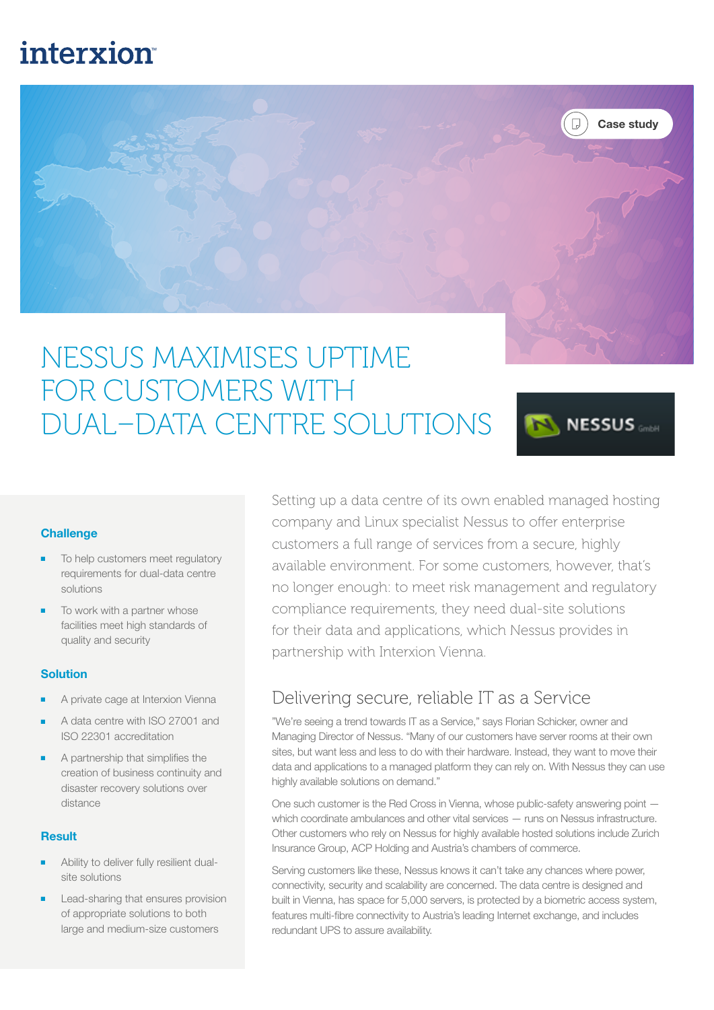## **interxion**



# NESSUS MAXIMISES UPTIME FOR CUSTOMERS WITH DUAL–DATA CENTRE SOLUTIONS



#### **Challenge**

- To help customers meet regulatory requirements for dual-data centre solutions
- To work with a partner whose facilities meet high standards of quality and security

#### Solution

- A private cage at Interxion Vienna
- A data centre with ISO 27001 and ISO 22301 accreditation
- A partnership that simplifies the creation of business continuity and disaster recovery solutions over distance

#### Result

- Ability to deliver fully resilient dualsite solutions
- Lead-sharing that ensures provision of appropriate solutions to both large and medium-size customers

Setting up a data centre of its own enabled managed hosting company and Linux specialist Nessus to offer enterprise customers a full range of services from a secure, highly available environment. For some customers, however, that's no longer enough: to meet risk management and regulatory compliance requirements, they need dual-site solutions for their data and applications, which Nessus provides in partnership with Interxion Vienna.

### Delivering secure, reliable IT as a Service

"We're seeing a trend towards IT as a Service," says Florian Schicker, owner and Managing Director of Nessus. "Many of our customers have server rooms at their own sites, but want less and less to do with their hardware. Instead, they want to move their data and applications to a managed platform they can rely on. With Nessus they can use highly available solutions on demand."

One such customer is the Red Cross in Vienna, whose public-safety answering point which coordinate ambulances and other vital services — runs on Nessus infrastructure. Other customers who rely on Nessus for highly available hosted solutions include Zurich Insurance Group, ACP Holding and Austria's chambers of commerce.

Serving customers like these, Nessus knows it can't take any chances where power, connectivity, security and scalability are concerned. The data centre is designed and built in Vienna, has space for 5,000 servers, is protected by a biometric access system, features multi-fibre connectivity to Austria's leading Internet exchange, and includes redundant UPS to assure availability.